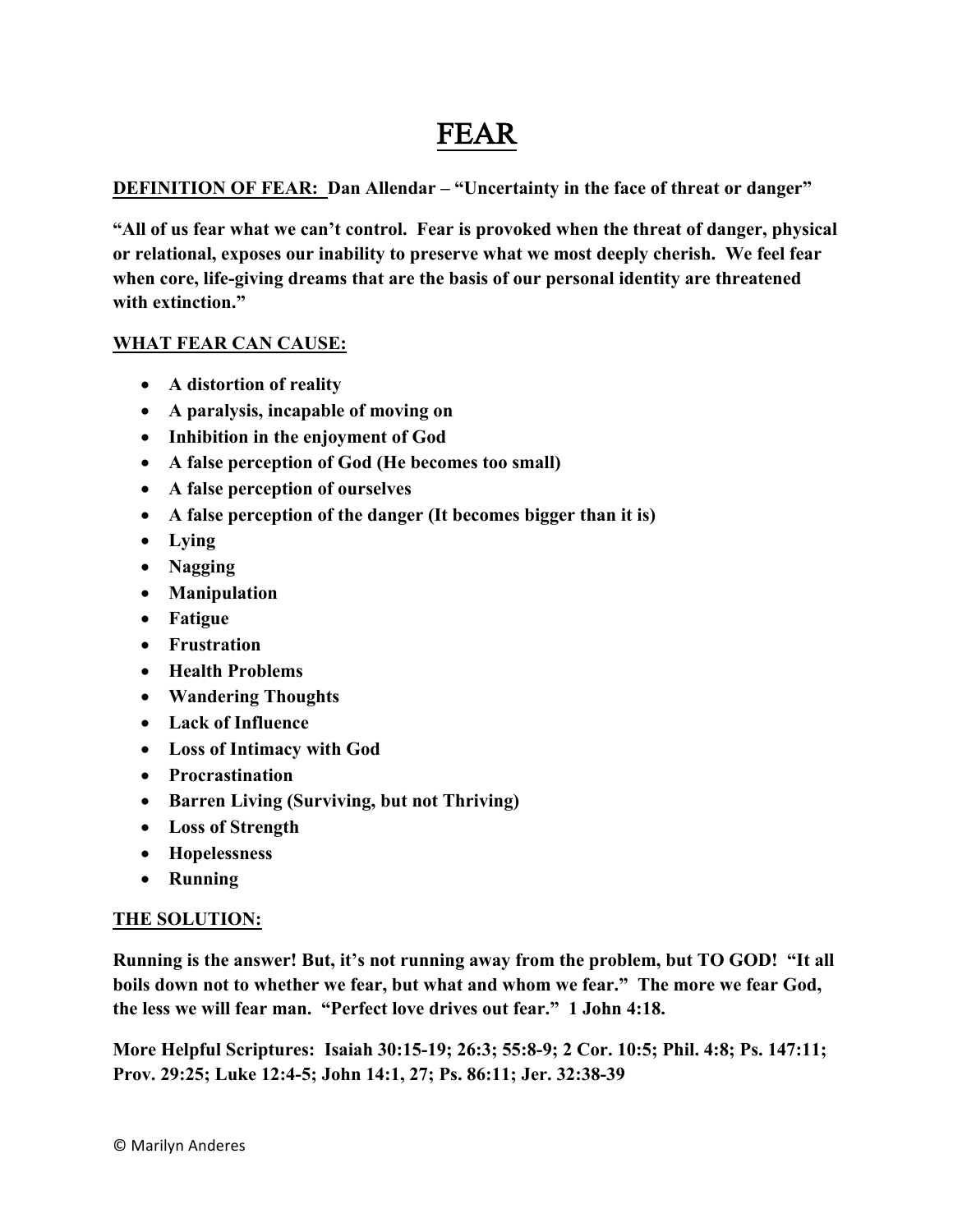# FEAR

**DEFINITION OF FEAR: Dan Allendar – "Uncertainty in the face of threat or danger"**

**"All of us fear what we can't control. Fear is provoked when the threat of danger, physical or relational, exposes our inability to preserve what we most deeply cherish. We feel fear when core, life-giving dreams that are the basis of our personal identity are threatened with extinction."**

## **WHAT FEAR CAN CAUSE:**

- **A distortion of reality**
- **A paralysis, incapable of moving on**
- **Inhibition in the enjoyment of God**
- **A false perception of God (He becomes too small)**
- **A false perception of ourselves**
- **A false perception of the danger (It becomes bigger than it is)**
- **Lying**
- **Nagging**
- **Manipulation**
- **Fatigue**
- **Frustration**
- **Health Problems**
- **Wandering Thoughts**
- **Lack of Influence**
- **Loss of Intimacy with God**
- **Procrastination**
- **Barren Living (Surviving, but not Thriving)**
- **Loss of Strength**
- **Hopelessness**
- **Running**

### **THE SOLUTION:**

**Running is the answer! But, it's not running away from the problem, but TO GOD! "It all boils down not to whether we fear, but what and whom we fear." The more we fear God, the less we will fear man. "Perfect love drives out fear." 1 John 4:18.**

**More Helpful Scriptures: Isaiah 30:15-19; 26:3; 55:8-9; 2 Cor. 10:5; Phil. 4:8; Ps. 147:11; Prov. 29:25; Luke 12:4-5; John 14:1, 27; Ps. 86:11; Jer. 32:38-39**